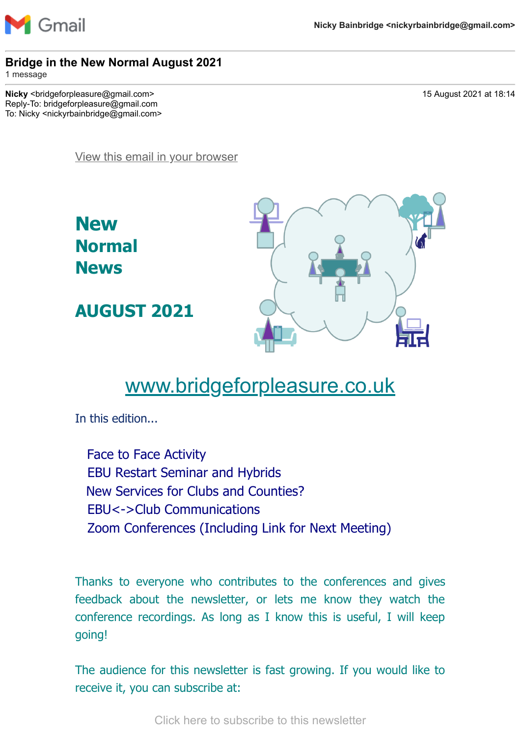

#### **Bridge in the New Normal August 2021**

1 message

**Nicky** <br/>  $\leq$  <br/>tridgeforpleasure@gmail.com> 15 August 2021 at 18:14 Reply-To: bridgeforpleasure@gmail.com To: Nicky <nickyrbainbridge@gmail.com>

[View this email in your browser](https://mailchi.mp/ab403c445723/bridge-in-the-new-normal-august-2021?e=7736085cbd)

**New Normal News**

**AUGUST 2021**



# [www.bridgeforpleasure.co.uk](https://rugbyvillagebridge.us16.list-manage.com/track/click?u=5ca90c1560213b9616359b892&id=ef09e75393&e=7736085cbd)

In this edition...

Face to Face Activity EBU Restart Seminar and Hybrids New Services for Clubs and Counties? EBU<->Club Communications Zoom Conferences (Including Link for Next Meeting)

Thanks to everyone who contributes to the conferences and gives feedback about the newsletter, or lets me know they watch the conference recordings. As long as I know this is useful, I will keep going!

The audience for this newsletter is fast growing. If you would like to receive it, you can subscribe at:

[Click here to subscribe to this newsletter](https://rugbyvillagebridge.us16.list-manage.com/track/click?u=5ca90c1560213b9616359b892&id=0b93400a61&e=7736085cbd)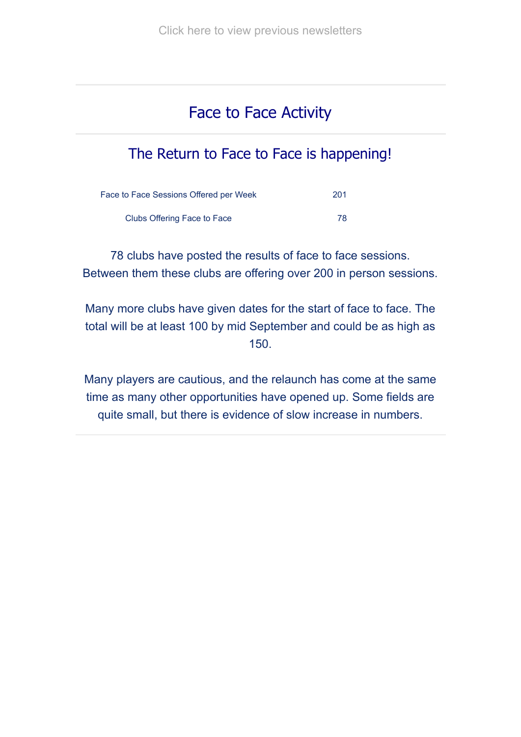# Face to Face Activity

# The Return to Face to Face is happening!

| Face to Face Sessions Offered per Week | 201 |
|----------------------------------------|-----|
| Clubs Offering Face to Face            | 78  |

78 clubs have posted the results of face to face sessions. Between them these clubs are offering over 200 in person sessions.

Many more clubs have given dates for the start of face to face. The total will be at least 100 by mid September and could be as high as 150.

Many players are cautious, and the relaunch has come at the same time as many other opportunities have opened up. Some fields are quite small, but there is evidence of slow increase in numbers.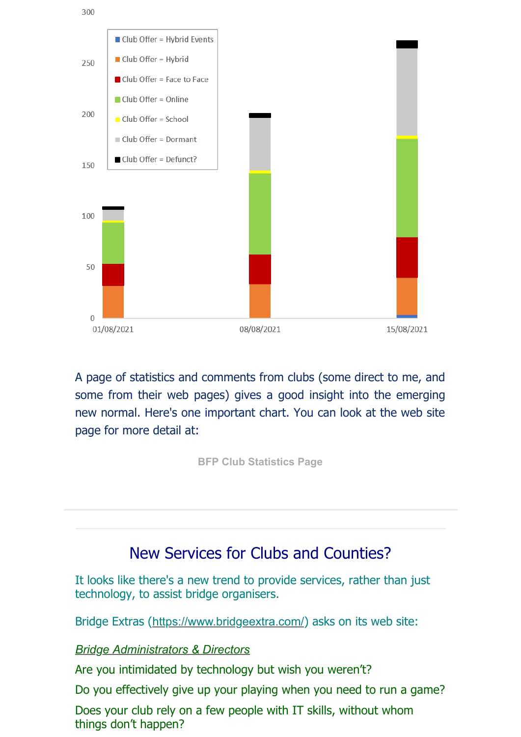

A page of statistics and comments from clubs (some direct to me, and some from their web pages) gives a good insight into the emerging new normal. Here's one important chart. You can look at the web site page for more detail at:

**[BFP Club Statistics Page](https://rugbyvillagebridge.us16.list-manage.com/track/click?u=5ca90c1560213b9616359b892&id=bfe7010f59&e=7736085cbd)**

### New Services for Clubs and Counties?

It looks like there's a new trend to provide services, rather than just technology, to assist bridge organisers.

Bridge Extras ([https://www.bridgeextra.com/](https://rugbyvillagebridge.us16.list-manage.com/track/click?u=5ca90c1560213b9616359b892&id=abc46e72bb&e=7736085cbd)) asks on its web site:

#### *[Bridge Administrators & Directors](https://rugbyvillagebridge.us16.list-manage.com/track/click?u=5ca90c1560213b9616359b892&id=482a8a4843&e=7736085cbd)*

Are you intimidated by technology but wish you weren't?

Do you effectively give up your playing when you need to run a game?

Does your club rely on a few people with IT skills, without whom things don't happen?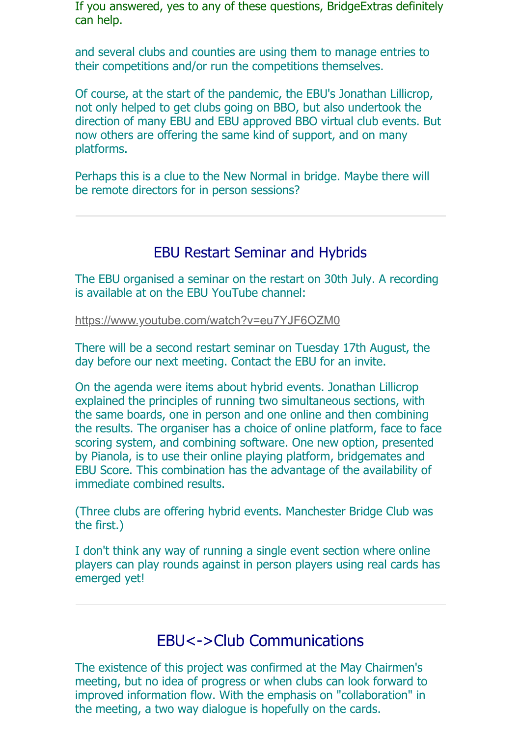If you answered, yes to any of these questions, BridgeExtras definitely can help.

and several clubs and counties are using them to manage entries to their competitions and/or run the competitions themselves.

Of course, at the start of the pandemic, the EBU's Jonathan Lillicrop, not only helped to get clubs going on BBO, but also undertook the direction of many EBU and EBU approved BBO virtual club events. But now others are offering the same kind of support, and on many platforms.

Perhaps this is a clue to the New Normal in bridge. Maybe there will be remote directors for in person sessions?

### EBU Restart Seminar and Hybrids

The EBU organised a seminar on the restart on 30th July. A recording is available at on the EBU YouTube channel:

[https://www.youtube.com/watch?v=eu7YJF6OZM0](https://rugbyvillagebridge.us16.list-manage.com/track/click?u=5ca90c1560213b9616359b892&id=88fe802a52&e=7736085cbd)

There will be a second restart seminar on Tuesday 17th August, the day before our next meeting. Contact the EBU for an invite.

On the agenda were items about hybrid events. Jonathan Lillicrop explained the principles of running two simultaneous sections, with the same boards, one in person and one online and then combining the results. The organiser has a choice of online platform, face to face scoring system, and combining software. One new option, presented by Pianola, is to use their online playing platform, bridgemates and EBU Score. This combination has the advantage of the availability of immediate combined results.

(Three clubs are offering hybrid events. Manchester Bridge Club was the first.)

I don't think any way of running a single event section where online players can play rounds against in person players using real cards has emerged yet!

### EBU<->Club Communications

The existence of this project was confirmed at the May Chairmen's meeting, but no idea of progress or when clubs can look forward to improved information flow. With the emphasis on "collaboration" in the meeting, a two way dialogue is hopefully on the cards.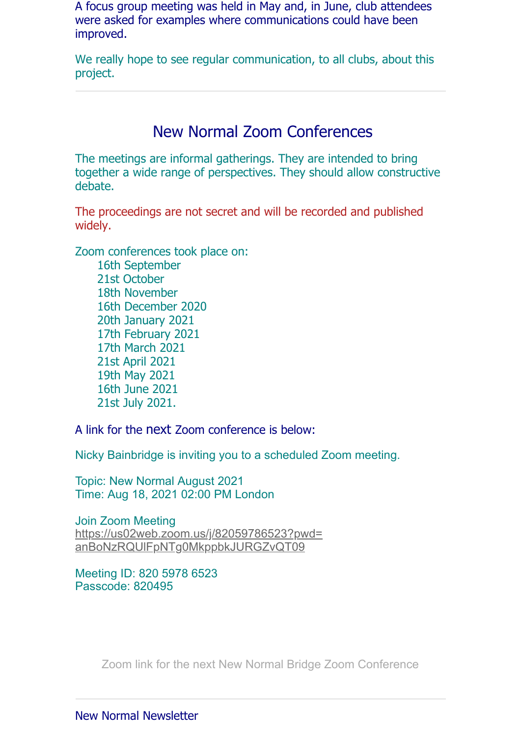A focus group meeting was held in May and, in June, club attendees were asked for examples where communications could have been improved.

We really hope to see regular communication, to all clubs, about this project.

### New Normal Zoom Conferences

The meetings are informal gatherings. They are intended to bring together a wide range of perspectives. They should allow constructive debate.

The proceedings are not secret and will be recorded and published widely.

Zoom conferences took place on:

 16th September 21st October 18th November 16th December 2020 20th January 2021 17th February 2021 17th March 2021 21st April 2021 19th May 2021 16th June 2021 21st July 2021.

A link for the next Zoom conference is below:

Nicky Bainbridge is inviting you to a scheduled Zoom meeting.

Topic: New Normal August 2021 Time: Aug 18, 2021 02:00 PM London

Join Zoom Meeting [https://us02web.zoom.us/j/82059786523?pwd=](https://rugbyvillagebridge.us16.list-manage.com/track/click?u=5ca90c1560213b9616359b892&id=2ae7bc9a03&e=7736085cbd) anBoNzRQUlFpNTg0MkppbkJURGZvQT09

Meeting ID: 820 5978 6523 Passcode: 820495

[Zoom link for the next New Normal Bridge Zoom Conference](https://rugbyvillagebridge.us16.list-manage.com/track/click?u=5ca90c1560213b9616359b892&id=c710c53d60&e=7736085cbd)